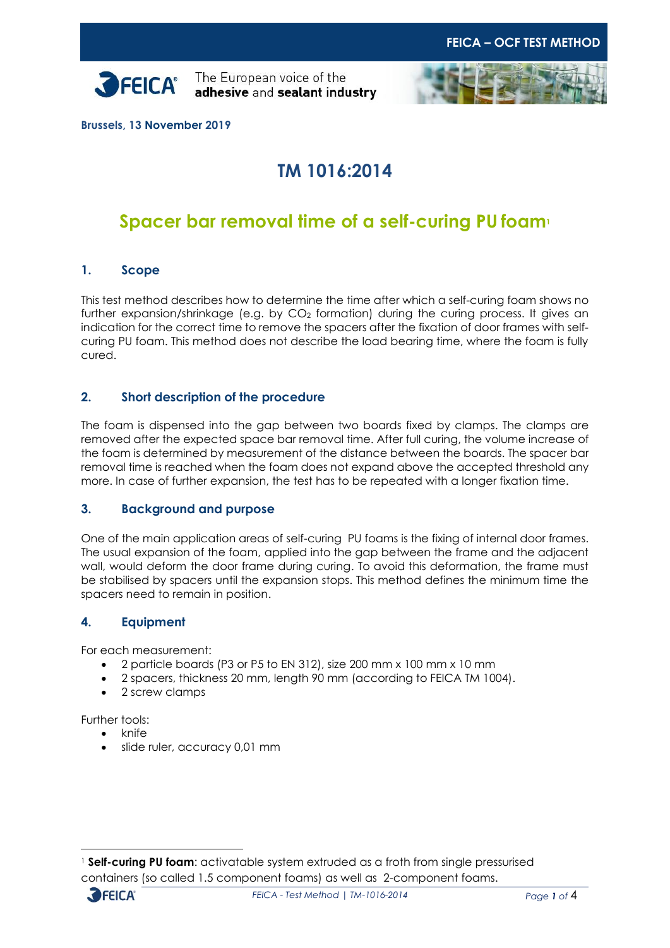



**Brussels, 13 November 2019**

# **TM 1016:2014**

# **Spacer bar removal time of a self-curing PU foam<sup>1</sup>**

### **1. Scope**

This test method describes how to determine the time after which a self-curing foam shows no further expansion/shrinkage (e.g. by CO<sub>2</sub> formation) during the curing process. It gives an indication for the correct time to remove the spacers after the fixation of door frames with selfcuring PU foam. This method does not describe the load bearing time, where the foam is fully cured.

### **2. Short description of the procedure**

The foam is dispensed into the gap between two boards fixed by clamps. The clamps are removed after the expected space bar removal time. After full curing, the volume increase of the foam is determined by measurement of the distance between the boards. The spacer bar removal time is reached when the foam does not expand above the accepted threshold any more. In case of further expansion, the test has to be repeated with a longer fixation time.

#### **3. Background and purpose**

One of the main application areas of self-curing PU foams is the fixing of internal door frames. The usual expansion of the foam, applied into the gap between the frame and the adjacent wall, would deform the door frame during curing. To avoid this deformation, the frame must be stabilised by spacers until the expansion stops. This method defines the minimum time the spacers need to remain in position.

### **4. Equipment**

For each measurement:

- 2 particle boards (P3 or P5 to EN 312), size 200 mm x 100 mm x 10 mm
- 2 spacers, thickness 20 mm, length 90 mm (according to FEICA TM 1004).
- 2 screw clamps

Further tools:

- knife
- slide ruler, accuracy 0,01 mm

<sup>1</sup> **Self-curing PU foam**: activatable system extruded as a froth from single pressurised containers (so called 1.5 component foams) as well as 2-component foams.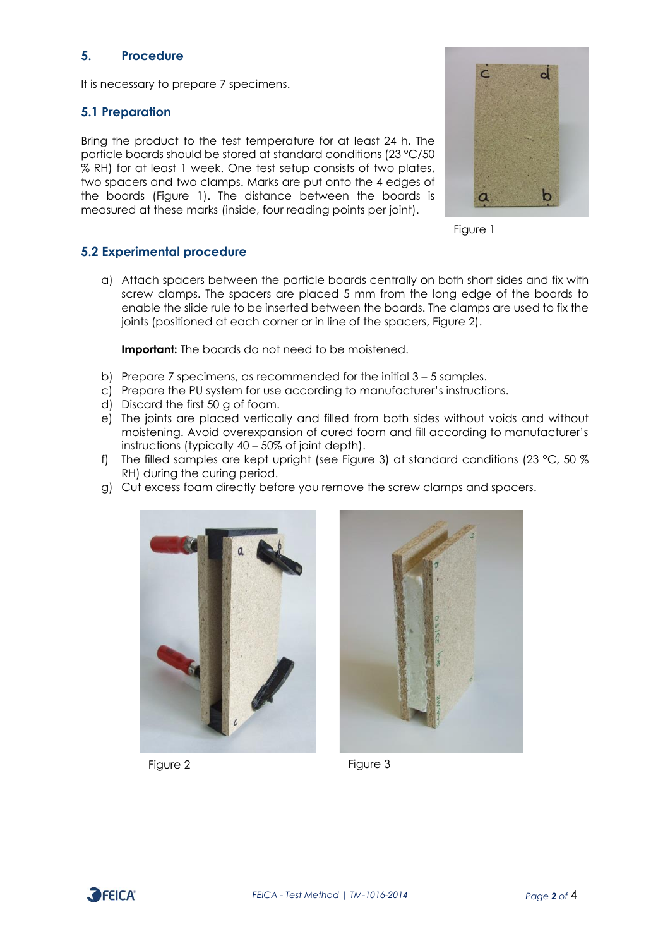## **5. Procedure**

It is necessary to prepare 7 specimens.

#### **5.1 Preparation**

Bring the product to the test temperature for at least 24 h. The particle boards should be stored at standard conditions (23 °C/50 % RH) for at least 1 week. One test setup consists of two plates, two spacers and two clamps. Marks are put onto the 4 edges of the boards (Figure 1). The distance between the boards is measured at these marks (inside, four reading points per joint).





#### **5.2 Experimental procedure**

a) Attach spacers between the particle boards centrally on both short sides and fix with screw clamps. The spacers are placed 5 mm from the long edge of the boards to enable the slide rule to be inserted between the boards. The clamps are used to fix the joints (positioned at each corner or in line of the spacers, Figure 2).

**Important:** The boards do not need to be moistened.

- b) Prepare 7 specimens, as recommended for the initial 3 5 samples.
- c) Prepare the PU system for use according to manufacturer's instructions.
- d) Discard the first 50 g of foam.
- e) The joints are placed vertically and filled from both sides without voids and without moistening. Avoid overexpansion of cured foam and fill according to manufacturer's instructions (typically 40 – 50% of joint depth).
- f) The filled samples are kept upright (see Figure 3) at standard conditions (23 °C, 50 % RH) during the curing period.
- g) Cut excess foam directly before you remove the screw clamps and spacers.





Figure 2 Figure 3

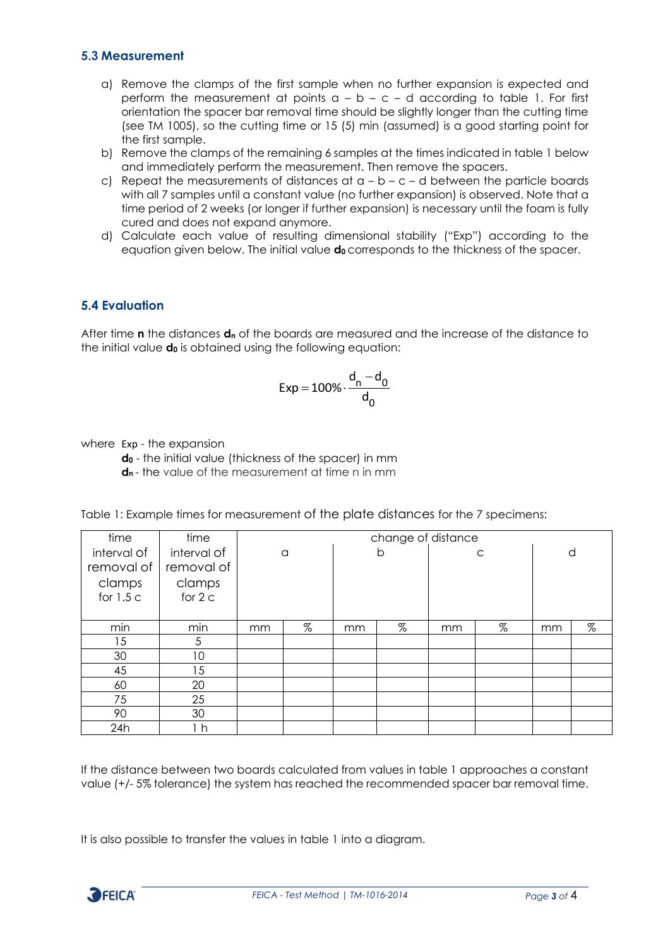#### **5.3 Measurement**

- a) Remove the clamps of the first sample when no further expansion is expected and perform the measurement at points  $a - b - c - d$  according to table 1. For first orientation the spacer bar removal time should be slightly longer than the cutting time (see TM 1005), so the cutting time or 15 (5) min (assumed) is a good starting point for the first sample.
- b) Remove the clamps of the remaining 6 samples at the times indicated in table 1 below and immediately perform the measurement. Then remove the spacers.
- c) Repeat the measurements of distances at  $a b c d$  between the particle boards with all 7 samples until a constant value (no further expansion) is observed. Note that a time period of 2 weeks (or longer if further expansion) is necessary until the foam is fully cured and does not expand anymore.
- d) Calculate each value of resulting dimensional stability ("Exp") according to the equation given below. The initial value **d<sup>0</sup>** corresponds to the thickness of the spacer.

## **5.4 Evaluation**

After time **n** the distances **d<sup>n</sup>** of the boards are measured and the increase of the distance to the initial value **d<sup>0</sup>** is obtained using the following equation:

$$
Exp = 100\% \cdot \frac{d_n - d_0}{d_0}
$$

where Exp - the expansion

**d<sup>0</sup>** - the initial value (thickness of the spacer) in mm **d<sup>n</sup>** - the value of the measurement at time n in mm

| Table 1: Example times for measurement of the plate distances for the 7 specimens: |  |  |
|------------------------------------------------------------------------------------|--|--|
|------------------------------------------------------------------------------------|--|--|

| time        | time           | change of distance |   |    |      |    |      |    |      |
|-------------|----------------|--------------------|---|----|------|----|------|----|------|
| interval of | interval of    | a                  |   | b  |      | C  |      | d  |      |
| removal of  | removal of     |                    |   |    |      |    |      |    |      |
| clamps      | clamps         |                    |   |    |      |    |      |    |      |
| for $1.5c$  | for $2c$       |                    |   |    |      |    |      |    |      |
|             |                |                    |   |    |      |    |      |    |      |
| min         | min            | mm                 | % | mm | $\%$ | mm | $\%$ | mm | $\%$ |
| 15          | 5              |                    |   |    |      |    |      |    |      |
| 30          | 10             |                    |   |    |      |    |      |    |      |
| 45          | 15             |                    |   |    |      |    |      |    |      |
| 60          | 20             |                    |   |    |      |    |      |    |      |
| 75          | 25             |                    |   |    |      |    |      |    |      |
| 90          | 30             |                    |   |    |      |    |      |    |      |
| 24h         | 1 <sub>h</sub> |                    |   |    |      |    |      |    |      |

If the distance between two boards calculated from values in table 1 approaches a constant value (+/- 5% tolerance) the system has reached the recommended spacer bar removal time.

It is also possible to transfer the values in table 1 into a diagram.